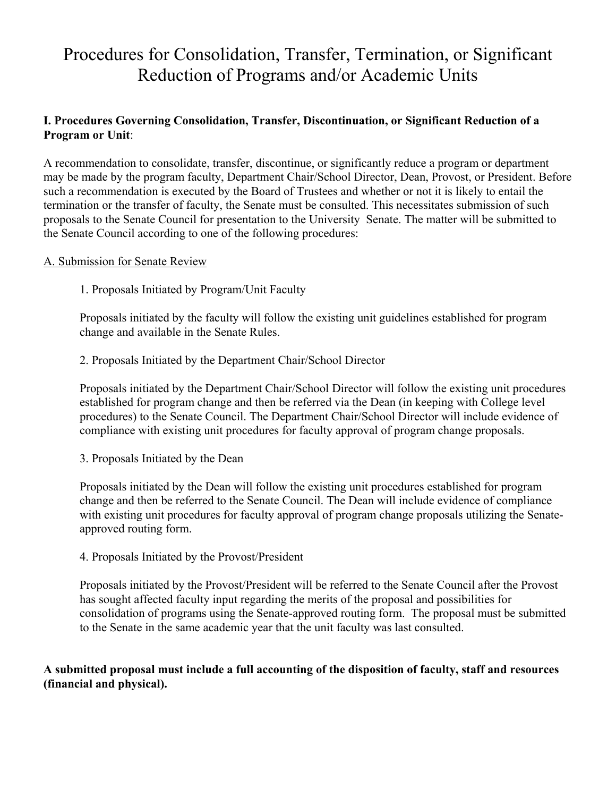# Procedures for Consolidation, Transfer, Termination, or Significant Reduction of Programs and/or Academic Units

# **I. Procedures Governing Consolidation, Transfer, Discontinuation, or Significant Reduction of a Program or Unit**:

A recommendation to consolidate, transfer, discontinue, or significantly reduce a program or department may be made by the program faculty, Department Chair/School Director, Dean, Provost, or President. Before such a recommendation is executed by the Board of Trustees and whether or not it is likely to entail the termination or the transfer of faculty, the Senate must be consulted. This necessitates submission of such proposals to the Senate Council for presentation to the University Senate. The matter will be submitted to the Senate Council according to one of the following procedures:

## A. Submission for Senate Review

1. Proposals Initiated by Program/Unit Faculty

Proposals initiated by the faculty will follow the existing unit guidelines established for program change and available in the Senate Rules.

2. Proposals Initiated by the Department Chair/School Director

Proposals initiated by the Department Chair/School Director will follow the existing unit procedures established for program change and then be referred via the Dean (in keeping with College level procedures) to the Senate Council. The Department Chair/School Director will include evidence of compliance with existing unit procedures for faculty approval of program change proposals.

3. Proposals Initiated by the Dean

Proposals initiated by the Dean will follow the existing unit procedures established for program change and then be referred to the Senate Council. The Dean will include evidence of compliance with existing unit procedures for faculty approval of program change proposals utilizing the Senateapproved routing form.

4. Proposals Initiated by the Provost/President

Proposals initiated by the Provost/President will be referred to the Senate Council after the Provost has sought affected faculty input regarding the merits of the proposal and possibilities for consolidation of programs using the Senate-approved routing form. The proposal must be submitted to the Senate in the same academic year that the unit faculty was last consulted.

## **A submitted proposal must include a full accounting of the disposition of faculty, staff and resources (financial and physical).**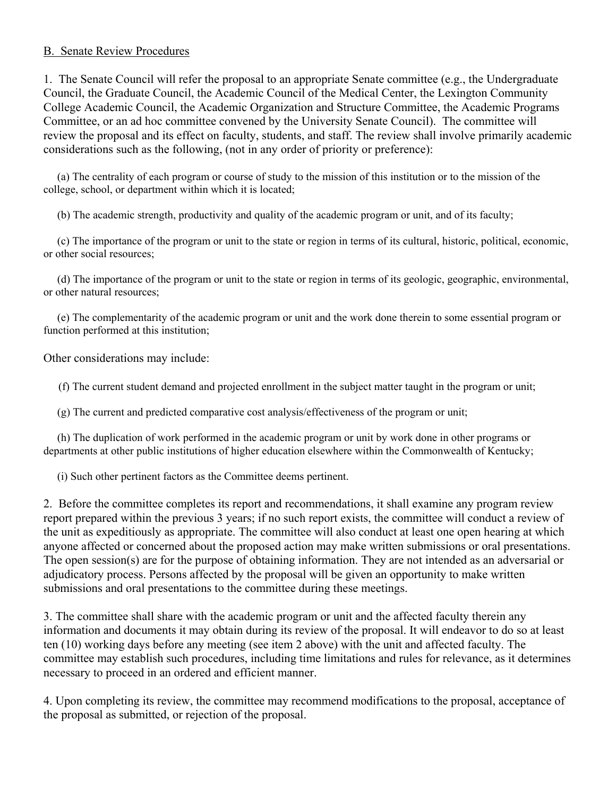#### B. Senate Review Procedures

1. The Senate Council will refer the proposal to an appropriate Senate committee (e.g., the Undergraduate Council, the Graduate Council, the Academic Council of the Medical Center, the Lexington Community College Academic Council, the Academic Organization and Structure Committee, the Academic Programs Committee, or an ad hoc committee convened by the University Senate Council). The committee will review the proposal and its effect on faculty, students, and staff. The review shall involve primarily academic considerations such as the following, (not in any order of priority or preference):

 (a) The centrality of each program or course of study to the mission of this institution or to the mission of the college, school, or department within which it is located;

(b) The academic strength, productivity and quality of the academic program or unit, and of its faculty;

 (c) The importance of the program or unit to the state or region in terms of its cultural, historic, political, economic, or other social resources;

 (d) The importance of the program or unit to the state or region in terms of its geologic, geographic, environmental, or other natural resources;

 (e) The complementarity of the academic program or unit and the work done therein to some essential program or function performed at this institution;

Other considerations may include:

(f) The current student demand and projected enrollment in the subject matter taught in the program or unit;

(g) The current and predicted comparative cost analysis/effectiveness of the program or unit;

 (h) The duplication of work performed in the academic program or unit by work done in other programs or departments at other public institutions of higher education elsewhere within the Commonwealth of Kentucky;

(i) Such other pertinent factors as the Committee deems pertinent.

2. Before the committee completes its report and recommendations, it shall examine any program review report prepared within the previous 3 years; if no such report exists, the committee will conduct a review of the unit as expeditiously as appropriate. The committee will also conduct at least one open hearing at which anyone affected or concerned about the proposed action may make written submissions or oral presentations. The open session(s) are for the purpose of obtaining information. They are not intended as an adversarial or adjudicatory process. Persons affected by the proposal will be given an opportunity to make written submissions and oral presentations to the committee during these meetings.

3. The committee shall share with the academic program or unit and the affected faculty therein any information and documents it may obtain during its review of the proposal. It will endeavor to do so at least ten (10) working days before any meeting (see item 2 above) with the unit and affected faculty. The committee may establish such procedures, including time limitations and rules for relevance, as it determines necessary to proceed in an ordered and efficient manner.

4. Upon completing its review, the committee may recommend modifications to the proposal, acceptance of the proposal as submitted, or rejection of the proposal.